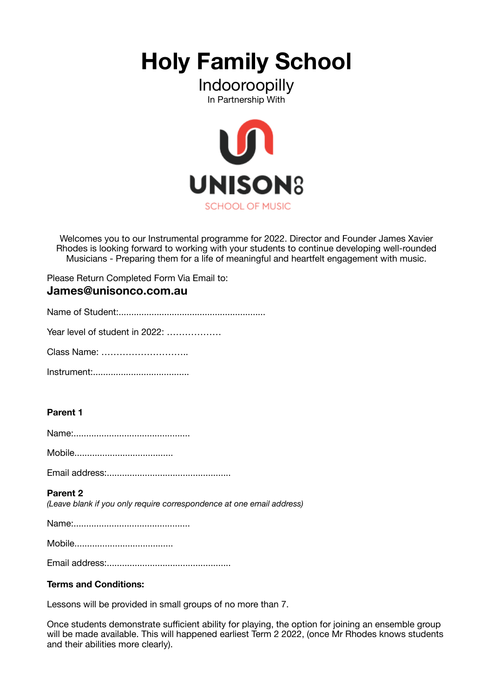**Holy Family School** 

# Indooroopilly In Partnership With



Welcomes you to our Instrumental programme for 2022. Director and Founder James Xavier Rhodes is looking forward to working with your students to continue developing well-rounded Musicians - Preparing them for a life of meaningful and heartfelt engagement with music.

Please Return Completed Form Via Email to: **James@unisonco.com.au** 

Year level of student in 2022: ………………

Class Name: ………………………..

Instrument:......................................

## **Parent 1**

Name:..............................................

Mobile.......................................

Email address:.................................................

#### **Parent 2**

*(Leave blank if you only require correspondence at one email address)* 

Name:..............................................

Mobile.......................................

Email address:.................................................

#### **Terms and Conditions:**

Lessons will be provided in small groups of no more than 7.

Once students demonstrate sufficient ability for playing, the option for joining an ensemble group will be made available. This will happened earliest Term 2 2022, (once Mr Rhodes knows students and their abilities more clearly).